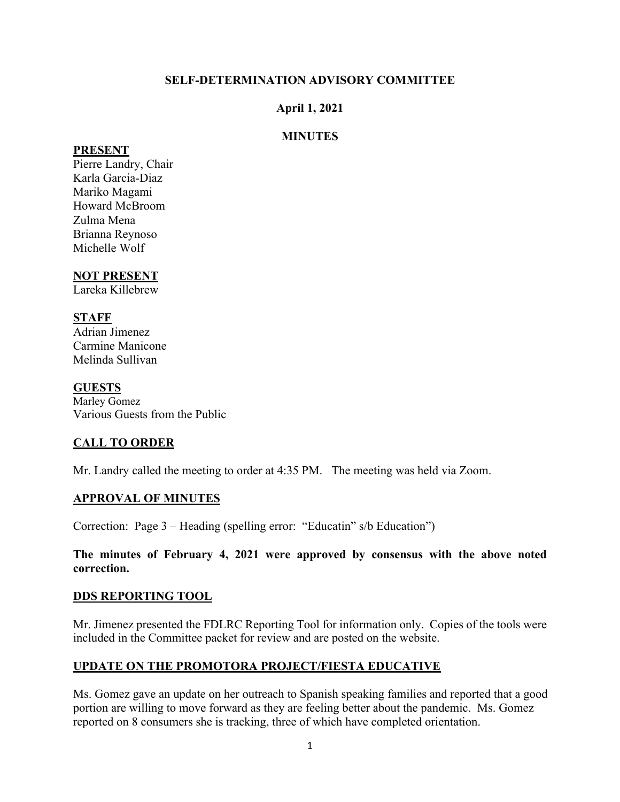#### **SELF-DETERMINATION ADVISORY COMMITTEE**

#### **April 1, 2021**

#### **MINUTES**

#### **PRESENT**

Pierre Landry, Chair Karla Garcia-Diaz Mariko Magami Howard McBroom Zulma Mena Brianna Reynoso Michelle Wolf

# **NOT PRESENT**

Lareka Killebrew

#### **STAFF**

Adrian Jimenez Carmine Manicone Melinda Sullivan

#### **GUESTS**

Marley Gomez Various Guests from the Public

# **CALL TO ORDER**

Mr. Landry called the meeting to order at 4:35 PM. The meeting was held via Zoom.

# **APPROVAL OF MINUTES**

Correction: Page 3 – Heading (spelling error: "Educatin" s/b Education")

#### **The minutes of February 4, 2021 were approved by consensus with the above noted correction.**

#### **DDS REPORTING TOOL**

Mr. Jimenez presented the FDLRC Reporting Tool for information only. Copies of the tools were included in the Committee packet for review and are posted on the website.

# **UPDATE ON THE PROMOTORA PROJECT/FIESTA EDUCATIVE**

Ms. Gomez gave an update on her outreach to Spanish speaking families and reported that a good portion are willing to move forward as they are feeling better about the pandemic. Ms. Gomez reported on 8 consumers she is tracking, three of which have completed orientation.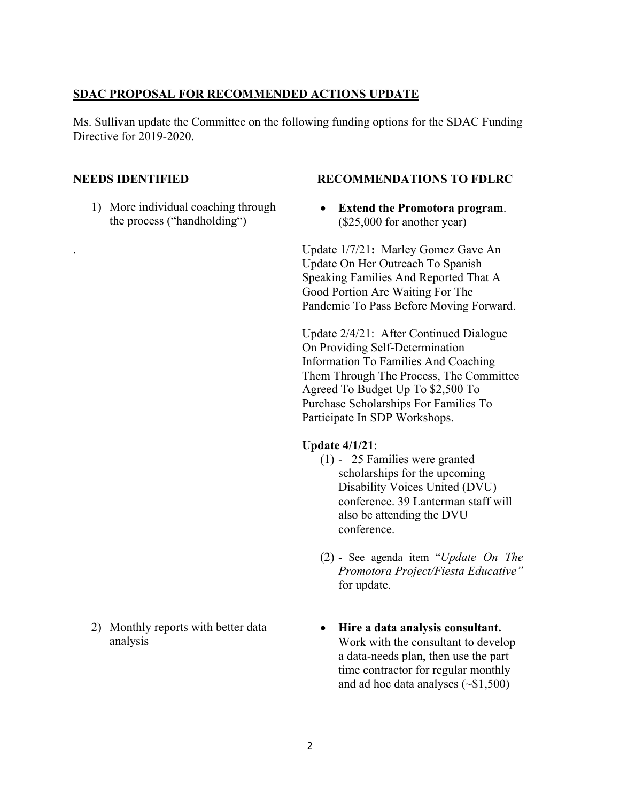#### **SDAC PROPOSAL FOR RECOMMENDED ACTIONS UPDATE**

Ms. Sullivan update the Committee on the following funding options for the SDAC Funding Directive for 2019-2020.

1) More individual coaching through the process ("handholding")

#### **NEEDS IDENTIFIED RECOMMENDATIONS TO FDLRC**

• **Extend the Promotora program**. (\$25,000 for another year)

. Update 1/7/21**:** Marley Gomez Gave An Update On Her Outreach To Spanish Speaking Families And Reported That A Good Portion Are Waiting For The Pandemic To Pass Before Moving Forward.

Update 2/4/21: After Continued Dialogue On Providing Self-Determination Information To Families And Coaching Them Through The Process, The Committee Agreed To Budget Up To \$2,500 To Purchase Scholarships For Families To Participate In SDP Workshops.

#### **Update 4/1/21**:

- (1) 25 Families were granted scholarships for the upcoming Disability Voices United (DVU) conference. 39 Lanterman staff will also be attending the DVU conference.
- (2) See agenda item "*Update On The Promotora Project/Fiesta Educative"* for update.
- **Hire a data analysis consultant.**  Work with the consultant to develop a data-needs plan, then use the part time contractor for regular monthly and ad hoc data analyses  $(\sim $1,500)$
- 2) Monthly reports with better data analysis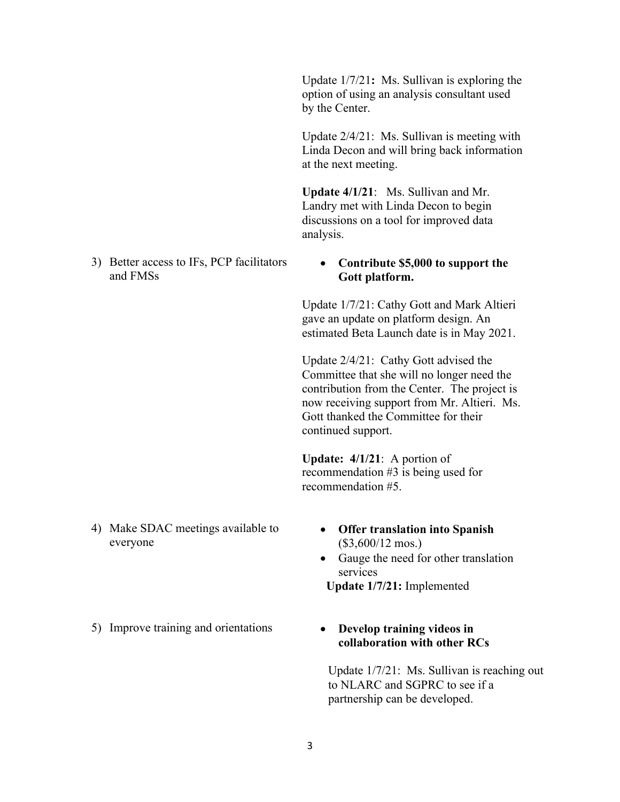Update 1/7/21**:** Ms. Sullivan is exploring the option of using an analysis consultant used by the Center.

Update 2/4/21: Ms. Sullivan is meeting with Linda Decon and will bring back information at the next meeting.

**Update 4/1/21**: Ms. Sullivan and Mr. Landry met with Linda Decon to begin discussions on a tool for improved data analysis.

3) Better access to IFs, PCP facilitators and FMSs

#### • **Contribute \$5,000 to support the Gott platform.**

Update 1/7/21: Cathy Gott and Mark Altieri gave an update on platform design. An estimated Beta Launch date is in May 2021.

Update 2/4/21: Cathy Gott advised the Committee that she will no longer need the contribution from the Center. The project is now receiving support from Mr. Altieri. Ms. Gott thanked the Committee for their continued support.

**Update: 4/1/21**: A portion of recommendation #3 is being used for recommendation #5.

- 4) Make SDAC meetings available to everyone
- **Offer translation into Spanish**  (\$3,600/12 mos.)
- Gauge the need for other translation services

 **Update 1/7/21:** Implemented

5) Improve training and orientations • **Develop training videos in** 

# **collaboration with other RCs**

Update 1/7/21: Ms. Sullivan is reaching out to NLARC and SGPRC to see if a partnership can be developed.